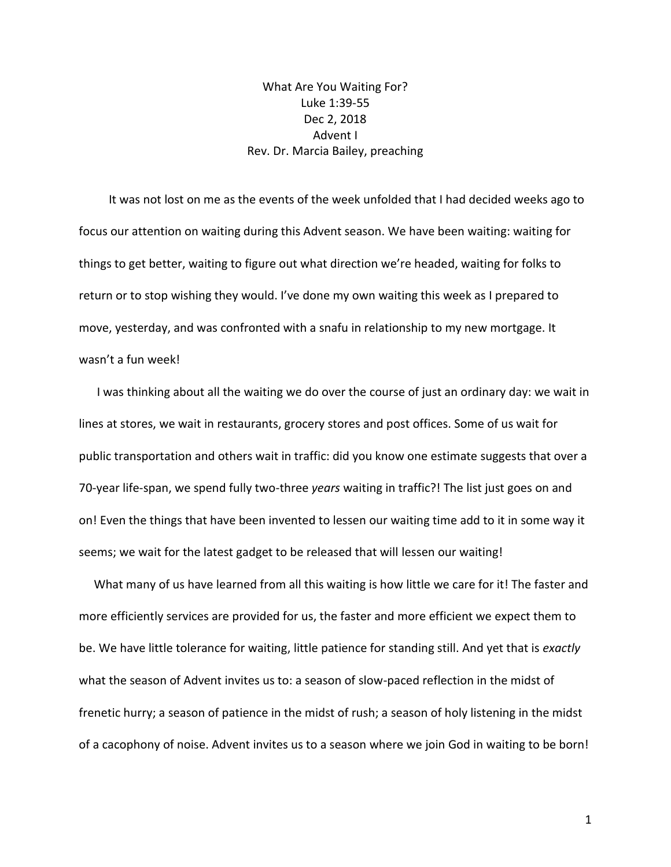What Are You Waiting For? Luke 1:39-55 Dec 2, 2018 Advent I Rev. Dr. Marcia Bailey, preaching

 It was not lost on me as the events of the week unfolded that I had decided weeks ago to focus our attention on waiting during this Advent season. We have been waiting: waiting for things to get better, waiting to figure out what direction we're headed, waiting for folks to return or to stop wishing they would. I've done my own waiting this week as I prepared to move, yesterday, and was confronted with a snafu in relationship to my new mortgage. It wasn't a fun week!

 I was thinking about all the waiting we do over the course of just an ordinary day: we wait in lines at stores, we wait in restaurants, grocery stores and post offices. Some of us wait for public transportation and others wait in traffic: did you know one estimate suggests that over a 70-year life-span, we spend fully two-three *years* waiting in traffic?! The list just goes on and on! Even the things that have been invented to lessen our waiting time add to it in some way it seems; we wait for the latest gadget to be released that will lessen our waiting!

 What many of us have learned from all this waiting is how little we care for it! The faster and more efficiently services are provided for us, the faster and more efficient we expect them to be. We have little tolerance for waiting, little patience for standing still. And yet that is *exactly*  what the season of Advent invites us to: a season of slow-paced reflection in the midst of frenetic hurry; a season of patience in the midst of rush; a season of holy listening in the midst of a cacophony of noise. Advent invites us to a season where we join God in waiting to be born!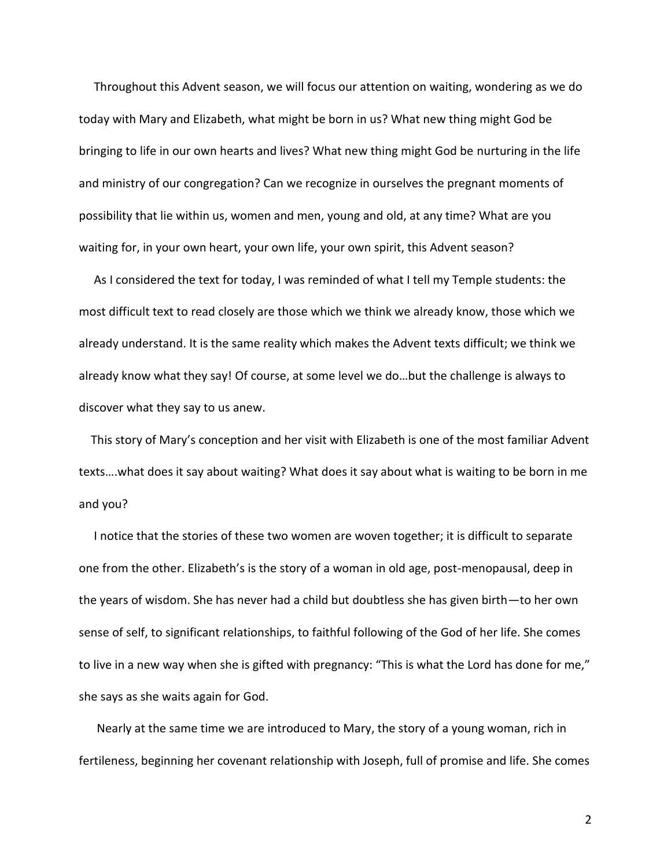Throughout this Advent season, we will focus our attention on waiting, wondering as we do today with Mary and Elizabeth, what might be born in us? What new thing might God be bringing to life in our own hearts and lives? What new thing might God be nurturing in the life and ministry of our congregation? Can we recognize in ourselves the pregnant moments of possibility that lie within us, women and men, young and old, at any time? What are you waiting for, in your own heart, your own life, your own spirit, this Advent season?

 As I considered the text for today, I was reminded of what I tell my Temple students: the most difficult text to read closely are those which we think we already know, those which we already understand. It is the same reality which makes the Advent texts difficult; we think we already know what they say! Of course, at some level we do…but the challenge is always to discover what they say to us anew.

 This story of Mary's conception and her visit with Elizabeth is one of the most familiar Advent texts….what does it say about waiting? What does it say about what is waiting to be born in me and you?

 I notice that the stories of these two women are woven together; it is difficult to separate one from the other. Elizabeth's is the story of a woman in old age, post-menopausal, deep in the years of wisdom. She has never had a child but doubtless she has given birth—to her own sense of self, to significant relationships, to faithful following of the God of her life. She comes to live in a new way when she is gifted with pregnancy: "This is what the Lord has done for me," she says as she waits again for God.

 Nearly at the same time we are introduced to Mary, the story of a young woman, rich in fertileness, beginning her covenant relationship with Joseph, full of promise and life. She comes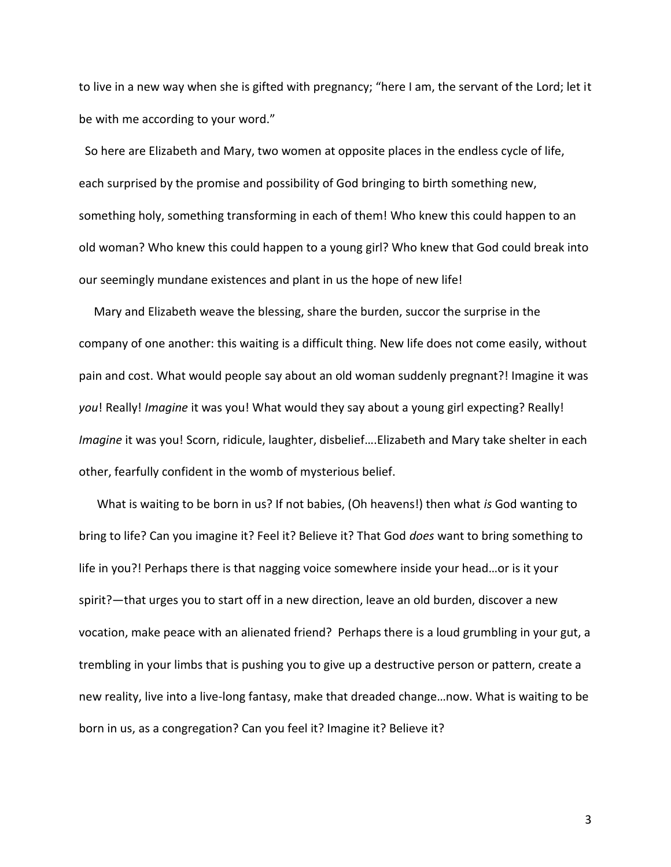to live in a new way when she is gifted with pregnancy; "here I am, the servant of the Lord; let it be with me according to your word."

 So here are Elizabeth and Mary, two women at opposite places in the endless cycle of life, each surprised by the promise and possibility of God bringing to birth something new, something holy, something transforming in each of them! Who knew this could happen to an old woman? Who knew this could happen to a young girl? Who knew that God could break into our seemingly mundane existences and plant in us the hope of new life!

 Mary and Elizabeth weave the blessing, share the burden, succor the surprise in the company of one another: this waiting is a difficult thing. New life does not come easily, without pain and cost. What would people say about an old woman suddenly pregnant?! Imagine it was *you*! Really! *Imagine* it was you! What would they say about a young girl expecting? Really! *Imagine* it was you! Scorn, ridicule, laughter, disbelief….Elizabeth and Mary take shelter in each other, fearfully confident in the womb of mysterious belief.

 What is waiting to be born in us? If not babies, (Oh heavens!) then what *is* God wanting to bring to life? Can you imagine it? Feel it? Believe it? That God *does* want to bring something to life in you?! Perhaps there is that nagging voice somewhere inside your head…or is it your spirit?—that urges you to start off in a new direction, leave an old burden, discover a new vocation, make peace with an alienated friend? Perhaps there is a loud grumbling in your gut, a trembling in your limbs that is pushing you to give up a destructive person or pattern, create a new reality, live into a live-long fantasy, make that dreaded change…now. What is waiting to be born in us, as a congregation? Can you feel it? Imagine it? Believe it?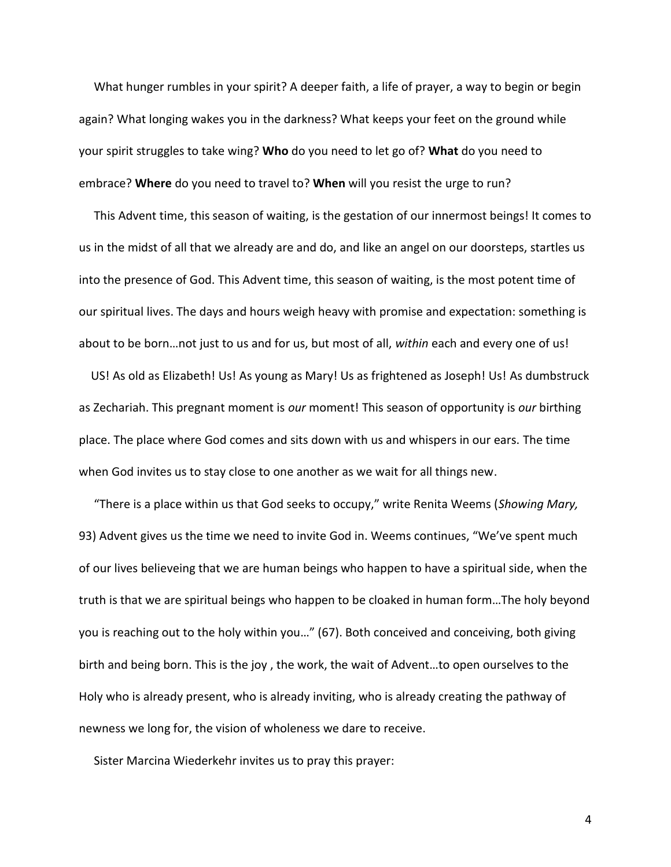What hunger rumbles in your spirit? A deeper faith, a life of prayer, a way to begin or begin again? What longing wakes you in the darkness? What keeps your feet on the ground while your spirit struggles to take wing? **Who** do you need to let go of? **What** do you need to embrace? **Where** do you need to travel to? **When** will you resist the urge to run?

 This Advent time, this season of waiting, is the gestation of our innermost beings! It comes to us in the midst of all that we already are and do, and like an angel on our doorsteps, startles us into the presence of God. This Advent time, this season of waiting, is the most potent time of our spiritual lives. The days and hours weigh heavy with promise and expectation: something is about to be born…not just to us and for us, but most of all, *within* each and every one of us!

 US! As old as Elizabeth! Us! As young as Mary! Us as frightened as Joseph! Us! As dumbstruck as Zechariah. This pregnant moment is *our* moment! This season of opportunity is *our* birthing place. The place where God comes and sits down with us and whispers in our ears. The time when God invites us to stay close to one another as we wait for all things new.

 "There is a place within us that God seeks to occupy," write Renita Weems (*Showing Mary,* 93) Advent gives us the time we need to invite God in. Weems continues, "We've spent much of our lives believeing that we are human beings who happen to have a spiritual side, when the truth is that we are spiritual beings who happen to be cloaked in human form…The holy beyond you is reaching out to the holy within you…" (67). Both conceived and conceiving, both giving birth and being born. This is the joy , the work, the wait of Advent…to open ourselves to the Holy who is already present, who is already inviting, who is already creating the pathway of newness we long for, the vision of wholeness we dare to receive.

Sister Marcina Wiederkehr invites us to pray this prayer: